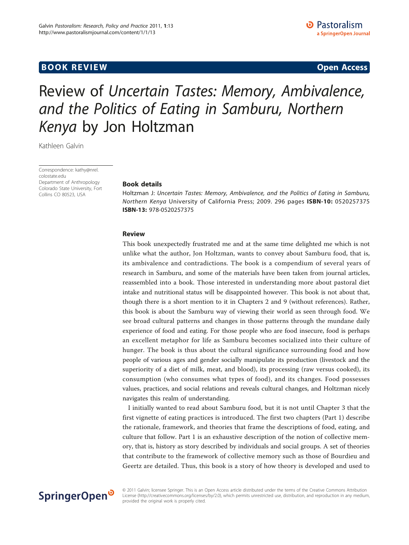## **BOOK REVIEW CONTROL** CONTROL CONTROL CONTROL CONTROL CONTROL CONTROL CONTROL CONTROL CONTROL CONTROL CONTROL CONTROL CONTROL CONTROL CONTROL CONTROL CONTROL CONTROL CONTROL CONTROL CONTROL CONTROL CONTROL CONTROL CONTROL

# Review of Uncertain Tastes: Memory, Ambivalence, and the Politics of Eating in Samburu, Northern Kenya by Jon Holtzman

Kathleen Galvin

Correspondence: [kathy@nrel.](mailto:kathy@nrel.colostate.edu) [colostate.edu](mailto:kathy@nrel.colostate.edu) Department of Anthropology Colorado State University, Fort Collins CO 80523, USA

## Book details

Holtzman J: Uncertain Tastes: Memory, Ambivalence, and the Politics of Eating in Samburu, Northern Kenya University of California Press; 2009. 296 pages ISBN-10: 0520257375 ISBN-13: 978-0520257375

### Review

This book unexpectedly frustrated me and at the same time delighted me which is not unlike what the author, Jon Holtzman, wants to convey about Samburu food, that is, its ambivalence and contradictions. The book is a compendium of several years of research in Samburu, and some of the materials have been taken from journal articles, reassembled into a book. Those interested in understanding more about pastoral diet intake and nutritional status will be disappointed however. This book is not about that, though there is a short mention to it in Chapters 2 and 9 (without references). Rather, this book is about the Samburu way of viewing their world as seen through food. We see broad cultural patterns and changes in those patterns through the mundane daily experience of food and eating. For those people who are food insecure, food is perhaps an excellent metaphor for life as Samburu becomes socialized into their culture of hunger. The book is thus about the cultural significance surrounding food and how people of various ages and gender socially manipulate its production (livestock and the superiority of a diet of milk, meat, and blood), its processing (raw versus cooked), its consumption (who consumes what types of food), and its changes. Food possesses values, practices, and social relations and reveals cultural changes, and Holtzman nicely navigates this realm of understanding.

I initially wanted to read about Samburu food, but it is not until Chapter 3 that the first vignette of eating practices is introduced. The first two chapters (Part 1) describe the rationale, framework, and theories that frame the descriptions of food, eating, and culture that follow. Part 1 is an exhaustive description of the notion of collective memory, that is, history as story described by individuals and social groups. A set of theories that contribute to the framework of collective memory such as those of Bourdieu and Geertz are detailed. Thus, this book is a story of how theory is developed and used to



© 2011 Galvin; licensee Springer. This is an Open Access article distributed under the terms of the Creative Commons Attribution License [\(http://creativecommons.org/licenses/by/2.0](http://creativecommons.org/licenses/by/2.0)), which permits unrestricted use, distribution, and reproduction in any medium, provided the original work is properly cited.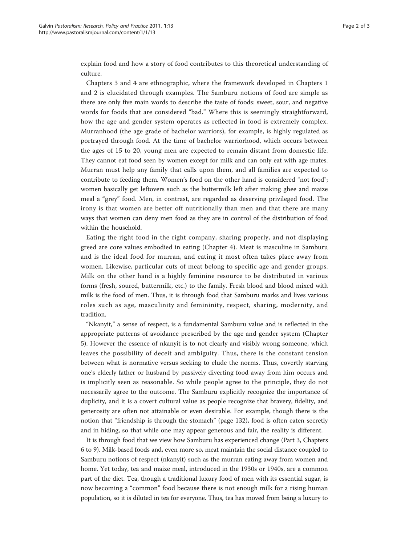explain food and how a story of food contributes to this theoretical understanding of culture.

Chapters 3 and 4 are ethnographic, where the framework developed in Chapters 1 and 2 is elucidated through examples. The Samburu notions of food are simple as there are only five main words to describe the taste of foods: sweet, sour, and negative words for foods that are considered "bad." Where this is seemingly straightforward, how the age and gender system operates as reflected in food is extremely complex. Murranhood (the age grade of bachelor warriors), for example, is highly regulated as portrayed through food. At the time of bachelor warriorhood, which occurs between the ages of 15 to 20, young men are expected to remain distant from domestic life. They cannot eat food seen by women except for milk and can only eat with age mates. Murran must help any family that calls upon them, and all families are expected to contribute to feeding them. Women's food on the other hand is considered "not food"; women basically get leftovers such as the buttermilk left after making ghee and maize meal a "grey" food. Men, in contrast, are regarded as deserving privileged food. The irony is that women are better off nutritionally than men and that there are many ways that women can deny men food as they are in control of the distribution of food within the household.

Eating the right food in the right company, sharing properly, and not displaying greed are core values embodied in eating (Chapter 4). Meat is masculine in Samburu and is the ideal food for murran, and eating it most often takes place away from women. Likewise, particular cuts of meat belong to specific age and gender groups. Milk on the other hand is a highly feminine resource to be distributed in various forms (fresh, soured, buttermilk, etc.) to the family. Fresh blood and blood mixed with milk is the food of men. Thus, it is through food that Samburu marks and lives various roles such as age, masculinity and femininity, respect, sharing, modernity, and tradition.

"Nkanyit," a sense of respect, is a fundamental Samburu value and is reflected in the appropriate patterns of avoidance prescribed by the age and gender system (Chapter 5). However the essence of nkanyit is to not clearly and visibly wrong someone, which leaves the possibility of deceit and ambiguity. Thus, there is the constant tension between what is normative versus seeking to elude the norms. Thus, covertly starving one's elderly father or husband by passively diverting food away from him occurs and is implicitly seen as reasonable. So while people agree to the principle, they do not necessarily agree to the outcome. The Samburu explicitly recognize the importance of duplicity, and it is a covert cultural value as people recognize that bravery, fidelity, and generosity are often not attainable or even desirable. For example, though there is the notion that "friendship is through the stomach" (page 132), food is often eaten secretly and in hiding, so that while one may appear generous and fair, the reality is different.

It is through food that we view how Samburu has experienced change (Part 3, Chapters 6 to 9). Milk-based foods and, even more so, meat maintain the social distance coupled to Samburu notions of respect (nkanyit) such as the murran eating away from women and home. Yet today, tea and maize meal, introduced in the 1930s or 1940s, are a common part of the diet. Tea, though a traditional luxury food of men with its essential sugar, is now becoming a "common" food because there is not enough milk for a rising human population, so it is diluted in tea for everyone. Thus, tea has moved from being a luxury to